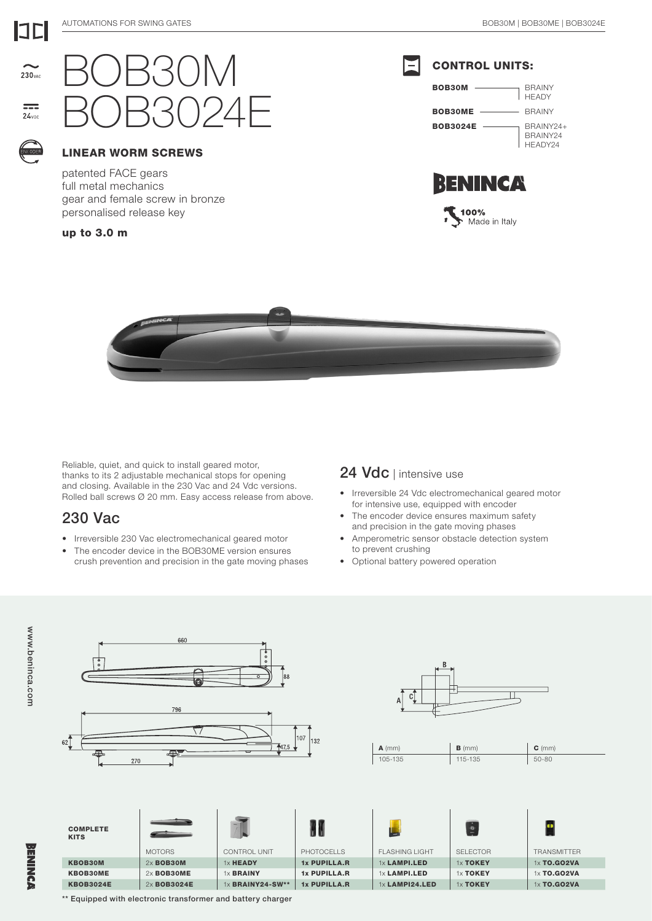

## LINEAR WORM SCREWS

patented FACE gears full metal mechanics gear and female screw in bronze personalised release key

up to 3.0 m

230<sub>v40</sub>

 $=$  $24$ vni







Reliable, quiet, and quick to install geared motor, thanks to its 2 adjustable mechanical stops for opening and closing. Available in the 230 Vac and 24 Vdc versions. Rolled ball screws Ø 20 mm. Easy access release from above.

## 230 Vac

www.beninca.com

**BENINCA** 

www.beninca.com

- Irreversible 230 Vac electromechanical geared motor
- The encoder device in the BOB30ME version ensures crush prevention and precision in the gate moving phases

## 24 Vdc | intensive use

- Irreversible 24 Vdc electromechanical geared motor for intensive use, equipped with encoder
- The encoder device ensures maximum safety and precision in the gate moving phases
- Amperometric sensor obstacle detection system to prevent crushing
- Optional battery powered operation



\*\* Equipped with electronic transformer and battery charger